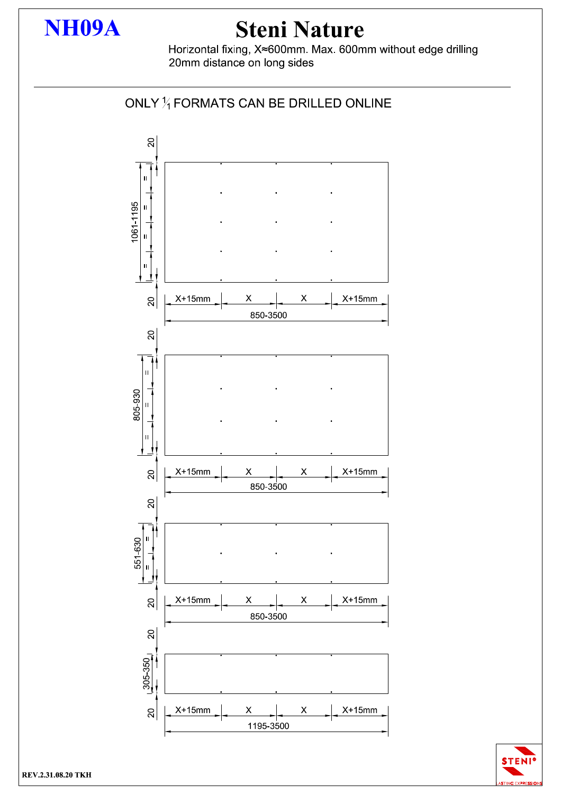

## **Steni Nature**

Horizontal fixing, X≈600mm. Max. 600mm without edge drilling 20mm distance on long sides



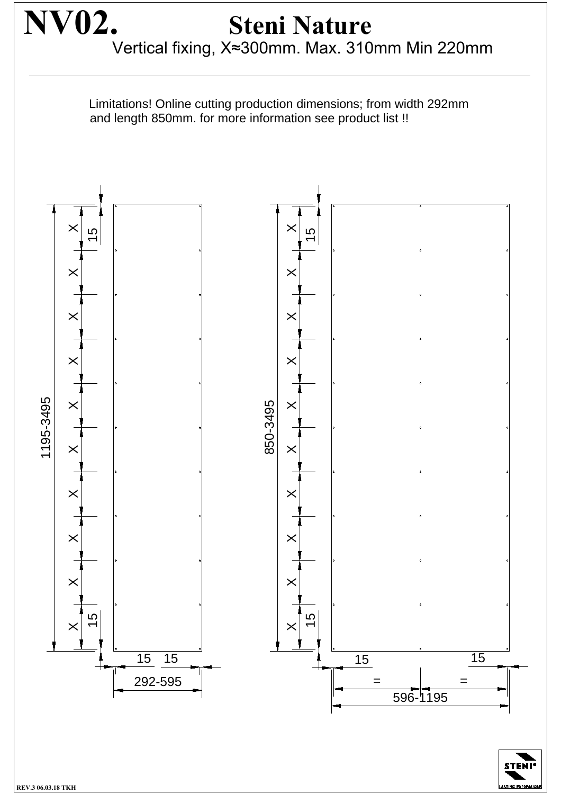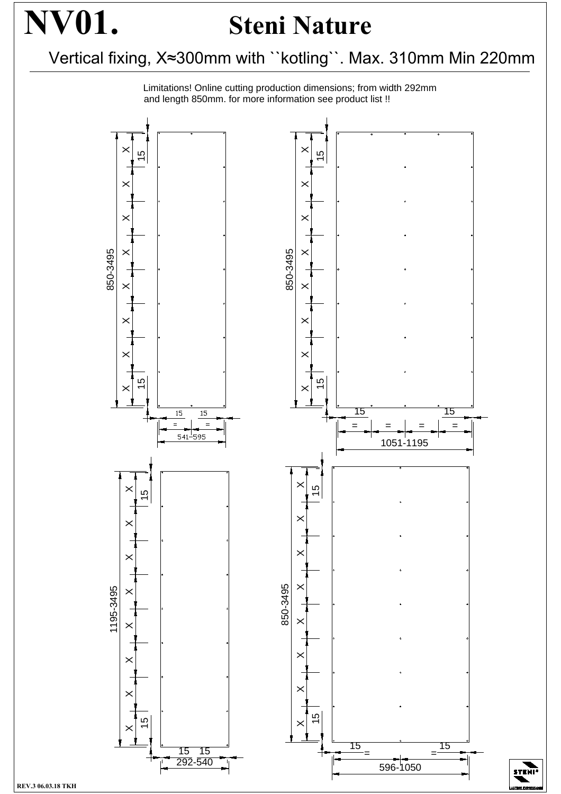## **NV01. Steni Nature**

Vertical fixing, X≈300mm with "kotling". Max. 310mm Min 220mm

Limitations! Online cutting production dimensions; from width 292mm and length 850mm. for more information see product list !!